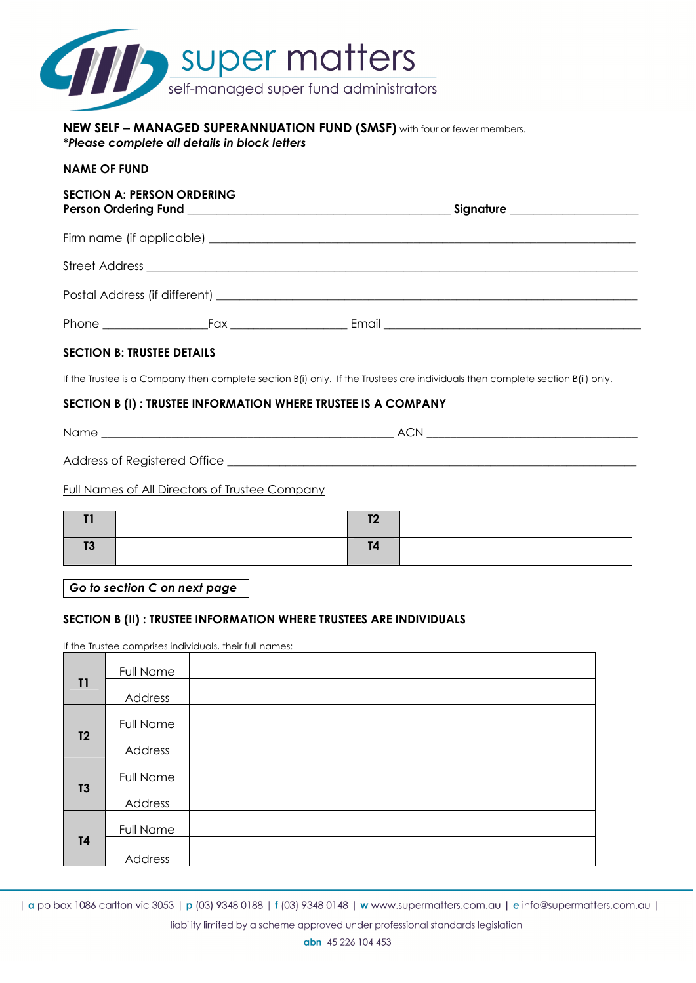

#### **NEW SELF – MANAGED SUPERANNUATION FUND (SMSF)** with four or fewer members. *\*Please complete all details in block letters*

|  | <b>SECTION A: PERSON ORDERING</b> |  | Signature _____________________ |  |
|--|-----------------------------------|--|---------------------------------|--|
|  |                                   |  |                                 |  |
|  |                                   |  |                                 |  |
|  |                                   |  |                                 |  |
|  | _Fax _______________________      |  |                                 |  |

# **SECTION B: TRUSTEE DETAILS**

If the Trustee is a Company then complete section B(i) only. If the Trustees are individuals then complete section B(ii) only.

### **SECTION B (I) : TRUSTEE INFORMATION WHERE TRUSTEE IS A COMPANY**

Name \_\_\_\_\_\_\_\_\_\_\_\_\_\_\_\_\_\_\_\_\_\_\_\_\_\_\_\_\_\_\_\_\_\_\_\_\_\_\_\_\_\_\_\_\_\_\_\_\_\_ ACN \_\_\_\_\_\_\_\_\_\_\_\_\_\_\_\_\_\_\_\_\_\_\_\_\_\_\_\_\_\_\_\_\_\_\_\_

Address of Registered Office

# Full Names of All Directors of Trustee Company

*Go to section C on next page* 

### **SECTION B (II) : TRUSTEE INFORMATION WHERE TRUSTEES ARE INDIVIDUALS**

If the Trustee comprises individuals, their full names:

|                | Full Name        |  |
|----------------|------------------|--|
| T1             | Address          |  |
|                | <b>Full Name</b> |  |
| T <sub>2</sub> | Address          |  |
|                | Full Name        |  |
| T3             | Address          |  |
|                | Full Name        |  |
| <b>T4</b>      | Address          |  |

| a po box 1086 carlton vic 3053 | p (03) 9348 0188 | f (03) 9348 0148 | w www.supermatters.com.au | e info@supermatters.com.au |

liability limited by a scheme approved under professional standards legislation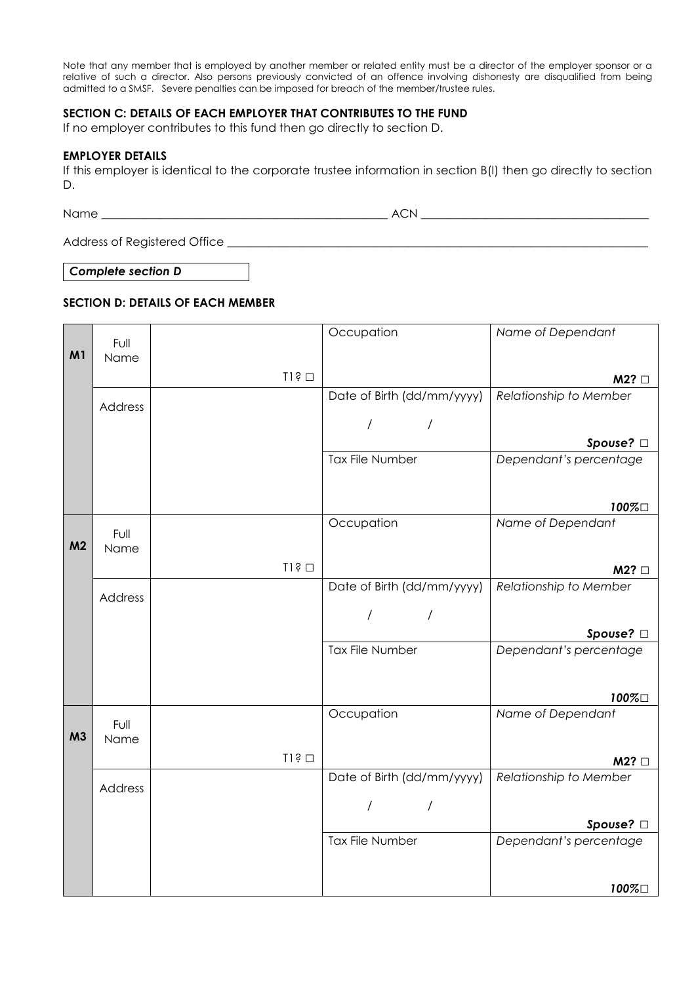Note that any member that is employed by another member or related entity must be a director of the employer sponsor or a relative of such a director. Also persons previously convicted of an offence involving dishonesty are disqualified from being admitted to a SMSF. Severe penalties can be imposed for breach of the member/trustee rules.

### **SECTION C: DETAILS OF EACH EMPLOYER THAT CONTRIBUTES TO THE FUND**

If no employer contributes to this fund then go directly to section D.

### **EMPLOYER DETAILS**

If this employer is identical to the corporate trustee information in section B(I) then go directly to section D.

Name \_\_\_\_\_\_\_\_\_\_\_\_\_\_\_\_\_\_\_\_\_\_\_\_\_\_\_\_\_\_\_\_\_\_\_\_\_\_\_\_\_\_\_\_\_\_\_\_\_ ACN \_\_\_\_\_\_\_\_\_\_\_\_\_\_\_\_\_\_\_\_\_\_\_\_\_\_\_\_\_\_\_\_\_\_\_\_\_\_\_

Address of Registered Office

*Complete section D* 

# **SECTION D: DETAILS OF EACH MEMBER**

|                | Full         |               | Occupation                   | Name of Dependant             |
|----------------|--------------|---------------|------------------------------|-------------------------------|
| M <sub>1</sub> | Name         |               |                              |                               |
|                |              | $I1$ ș $\Box$ |                              | M2?                           |
|                |              |               | Date of Birth (dd/mm/yyyy)   | Relationship to Member        |
|                | Address      |               |                              |                               |
|                |              |               | $\overline{1}$<br>$\prime$   |                               |
|                |              |               |                              | Spouse? □                     |
|                |              |               | Tax File Number              | Dependant's percentage        |
|                |              |               |                              |                               |
|                |              |               |                              | 100%□                         |
|                |              |               | Occupation                   | Name of Dependant             |
| M <sub>2</sub> | Full<br>Name |               |                              |                               |
|                |              | $I1$ ș $\Box$ |                              |                               |
|                |              |               | Date of Birth (dd/mm/yyyy)   | M2?<br>Relationship to Member |
|                | Address      |               |                              |                               |
|                |              |               | $\overline{1}$<br>/          |                               |
|                |              |               |                              | Spouse? □                     |
|                |              |               | <b>Tax File Number</b>       | Dependant's percentage        |
|                |              |               |                              |                               |
|                |              |               |                              | 100%口                         |
|                |              |               | Occupation                   | Name of Dependant             |
| M <sub>3</sub> | Full         |               |                              |                               |
|                | Name         |               |                              |                               |
|                |              | $TI$ $\odot$  |                              | M2?                           |
|                | Address      |               | Date of Birth (dd/mm/yyyy)   | Relationship to Member        |
|                |              |               | $\overline{1}$<br>$\sqrt{2}$ |                               |
|                |              |               |                              | Spouse? □                     |
|                |              |               | Tax File Number              | Dependant's percentage        |
|                |              |               |                              |                               |
|                |              |               |                              | $100\%$                       |
|                |              |               |                              |                               |